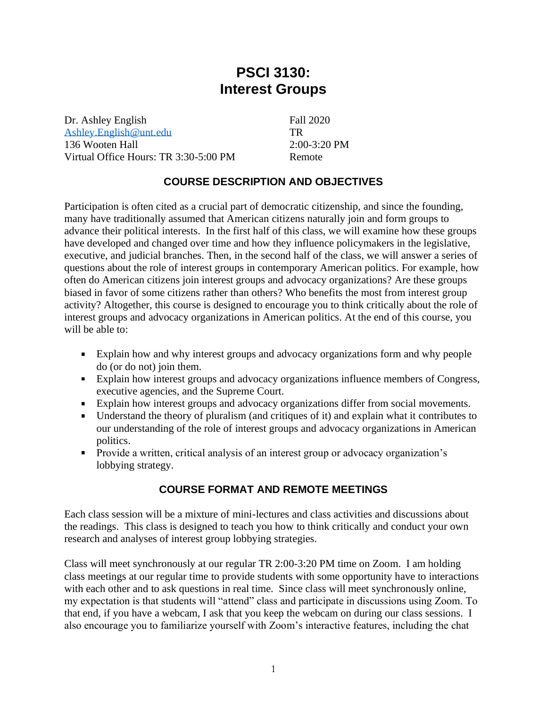# **PSCI 3130: Interest Groups**

Dr. Ashley English [Ashley.English@unt.edu](mailto:Ashley.English@unt.edu) 136 Wooten Hall Virtual Office Hours: TR 3:30-5:00 PM Fall 2020 TR  $2:00-3:20$  PM Remote

# **COURSE DESCRIPTION AND OBJECTIVES**

Participation is often cited as a crucial part of democratic citizenship, and since the founding, many have traditionally assumed that American citizens naturally join and form groups to advance their political interests. In the first half of this class, we will examine how these groups have developed and changed over time and how they influence policymakers in the legislative, executive, and judicial branches. Then, in the second half of the class, we will answer a series of questions about the role of interest groups in contemporary American politics. For example, how often do American citizens join interest groups and advocacy organizations? Are these groups biased in favor of some citizens rather than others? Who benefits the most from interest group activity? Altogether, this course is designed to encourage you to think critically about the role of interest groups and advocacy organizations in American politics. At the end of this course, you will be able to:

- Explain how and why interest groups and advocacy organizations form and why people do (or do not) join them.
- **Explain how interest groups and advocacy organizations influence members of Congress,** executive agencies, and the Supreme Court.
- Explain how interest groups and advocacy organizations differ from social movements.
- Understand the theory of pluralism (and critiques of it) and explain what it contributes to our understanding of the role of interest groups and advocacy organizations in American politics.
- Provide a written, critical analysis of an interest group or advocacy organization's lobbying strategy.

# **COURSE FORMAT AND REMOTE MEETINGS**

Each class session will be a mixture of mini-lectures and class activities and discussions about the readings. This class is designed to teach you how to think critically and conduct your own research and analyses of interest group lobbying strategies.

Class will meet synchronously at our regular TR 2:00-3:20 PM time on Zoom. I am holding class meetings at our regular time to provide students with some opportunity have to interactions with each other and to ask questions in real time. Since class will meet synchronously online, my expectation is that students will "attend" class and participate in discussions using Zoom. To that end, if you have a webcam, I ask that you keep the webcam on during our class sessions. I also encourage you to familiarize yourself with Zoom's interactive features, including the chat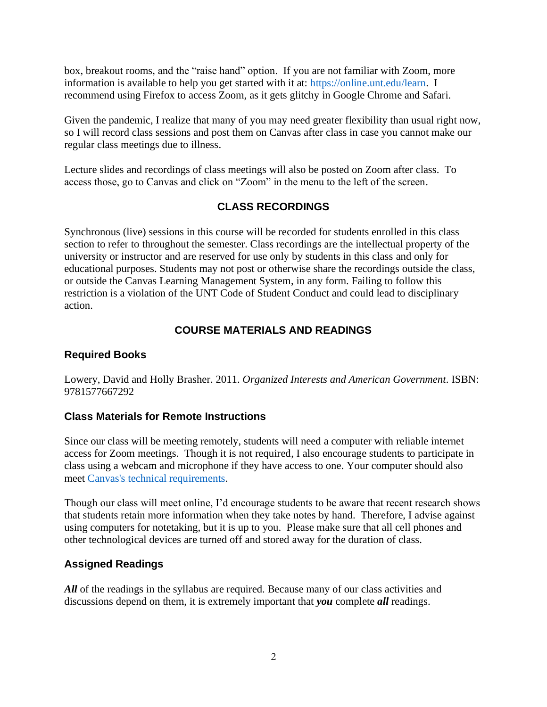box, breakout rooms, and the "raise hand" option. If you are not familiar with Zoom, more information is available to help you get started with it at: [https://online.unt.edu/learn.](https://online.unt.edu/learn) I recommend using Firefox to access Zoom, as it gets glitchy in Google Chrome and Safari.

Given the pandemic, I realize that many of you may need greater flexibility than usual right now, so I will record class sessions and post them on Canvas after class in case you cannot make our regular class meetings due to illness.

Lecture slides and recordings of class meetings will also be posted on Zoom after class. To access those, go to Canvas and click on "Zoom" in the menu to the left of the screen.

### **CLASS RECORDINGS**

Synchronous (live) sessions in this course will be recorded for students enrolled in this class section to refer to throughout the semester. Class recordings are the intellectual property of the university or instructor and are reserved for use only by students in this class and only for educational purposes. Students may not post or otherwise share the recordings outside the class, or outside the Canvas Learning Management System, in any form. Failing to follow this restriction is a violation of the UNT Code of Student Conduct and could lead to disciplinary action.

### **COURSE MATERIALS AND READINGS**

#### **Required Books**

Lowery, David and Holly Brasher. 2011. *Organized Interests and American Government*. ISBN: 9781577667292

#### **Class Materials for Remote Instructions**

Since our class will be meeting remotely, students will need a computer with reliable internet access for Zoom meetings. Though it is not required, I also encourage students to participate in class using a webcam and microphone if they have access to one. Your computer should also meet [Canvas's technical requirements.](https://clear.unt.edu/supported-technologies/canvas/requirements)

Though our class will meet online, I'd encourage students to be aware that recent research shows that students retain more information when they take notes by hand. Therefore, I advise against using computers for notetaking, but it is up to you. Please make sure that all cell phones and other technological devices are turned off and stored away for the duration of class.

### **Assigned Readings**

All of the readings in the syllabus are required. Because many of our class activities and discussions depend on them, it is extremely important that *you* complete *all* readings.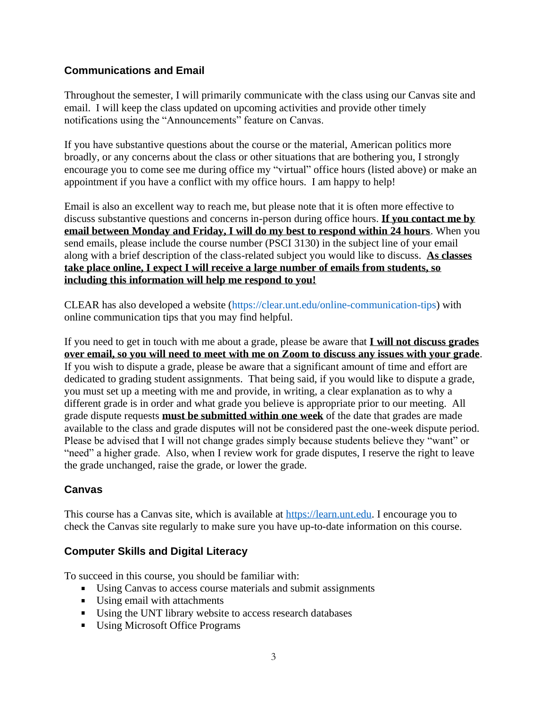### **Communications and Email**

Throughout the semester, I will primarily communicate with the class using our Canvas site and email. I will keep the class updated on upcoming activities and provide other timely notifications using the "Announcements" feature on Canvas.

If you have substantive questions about the course or the material, American politics more broadly, or any concerns about the class or other situations that are bothering you, I strongly encourage you to come see me during office my "virtual" office hours (listed above) or make an appointment if you have a conflict with my office hours. I am happy to help!

Email is also an excellent way to reach me, but please note that it is often more effective to discuss substantive questions and concerns in-person during office hours. **If you contact me by email between Monday and Friday, I will do my best to respond within 24 hours**. When you send emails, please include the course number (PSCI 3130) in the subject line of your email along with a brief description of the class-related subject you would like to discuss. **As classes take place online, I expect I will receive a large number of emails from students, so including this information will help me respond to you!**

CLEAR has also developed a website [\(https://clear.unt.edu/online-communication-tips\)](https://clear.unt.edu/online-communication-tips) with online communication tips that you may find helpful.

If you need to get in touch with me about a grade, please be aware that **I will not discuss grades over email, so you will need to meet with me on Zoom to discuss any issues with your grade**. If you wish to dispute a grade, please be aware that a significant amount of time and effort are dedicated to grading student assignments. That being said, if you would like to dispute a grade, you must set up a meeting with me and provide, in writing, a clear explanation as to why a different grade is in order and what grade you believe is appropriate prior to our meeting. All grade dispute requests **must be submitted within one week** of the date that grades are made available to the class and grade disputes will not be considered past the one-week dispute period. Please be advised that I will not change grades simply because students believe they "want" or "need" a higher grade. Also, when I review work for grade disputes, I reserve the right to leave the grade unchanged, raise the grade, or lower the grade.

### **Canvas**

This course has a Canvas site, which is available at [https://learn.unt.edu.](https://learn.unt.edu/) I encourage you to check the Canvas site regularly to make sure you have up-to-date information on this course.

#### **Computer Skills and Digital Literacy**

To succeed in this course, you should be familiar with:

- Using Canvas to access course materials and submit assignments
- Using email with attachments
- Using the UNT library website to access research databases
- Using Microsoft Office Programs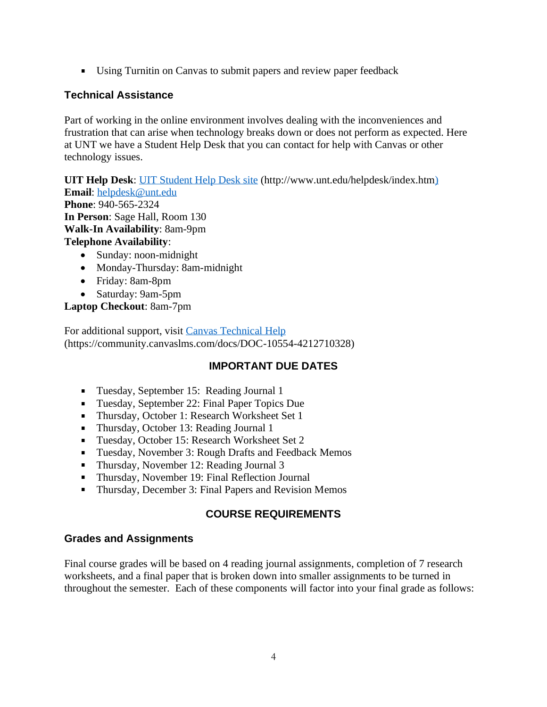Using Turnitin on Canvas to submit papers and review paper feedback

### **Technical Assistance**

Part of working in the online environment involves dealing with the inconveniences and frustration that can arise when technology breaks down or does not perform as expected. Here at UNT we have a Student Help Desk that you can contact for help with Canvas or other technology issues.

**UIT Help Desk**: [UIT Student Help Desk site](http://www.unt.edu/helpdesk/index.htm) (http://www.unt.edu/helpdesk/index.htm) **Email**: [helpdesk@unt.edu](mailto:helpdesk@unt.edu)  **Phone**: 940-565-2324 **In Person**: Sage Hall, Room 130 **Walk-In Availability**: 8am-9pm **Telephone Availability**: • Sunday: noon-midnight

- Monday-Thursday: 8am-midnight
- Friday: 8am-8pm
- Saturday: 9am-5pm

**Laptop Checkout**: 8am-7pm

For additional support, visit [Canvas Technical Help](https://community.canvaslms.com/docs/DOC-10554-4212710328) (https://community.canvaslms.com/docs/DOC-10554-4212710328)

### **IMPORTANT DUE DATES**

- Tuesday, September 15: Reading Journal 1
- Tuesday, September 22: Final Paper Topics Due
- Thursday, October 1: Research Worksheet Set 1
- Thursday, October 13: Reading Journal 1
- Tuesday, October 15: Research Worksheet Set 2
- **Tuesday, November 3: Rough Drafts and Feedback Memos**
- Thursday, November 12: Reading Journal 3
- Thursday, November 19: Final Reflection Journal
- **Thursday, December 3: Final Papers and Revision Memos**

# **COURSE REQUIREMENTS**

### **Grades and Assignments**

Final course grades will be based on 4 reading journal assignments, completion of 7 research worksheets, and a final paper that is broken down into smaller assignments to be turned in throughout the semester. Each of these components will factor into your final grade as follows: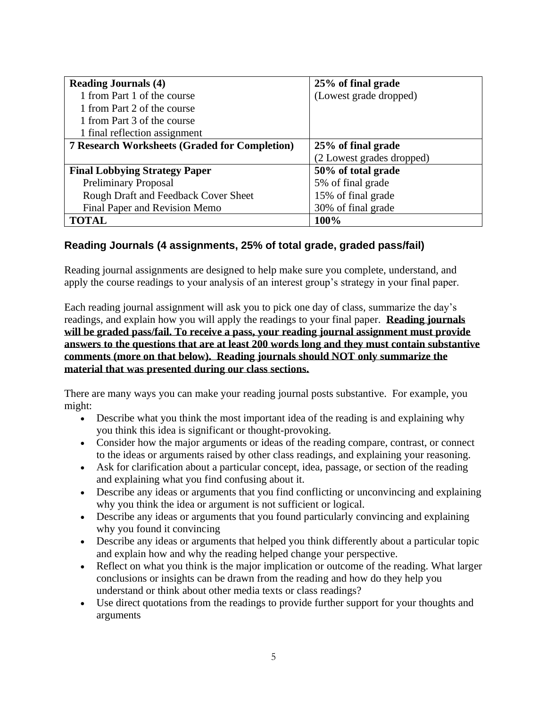| <b>Reading Journals (4)</b>                          | 25% of final grade        |
|------------------------------------------------------|---------------------------|
| 1 from Part 1 of the course                          | (Lowest grade dropped)    |
| 1 from Part 2 of the course                          |                           |
| 1 from Part 3 of the course                          |                           |
| 1 final reflection assignment                        |                           |
| <b>7 Research Worksheets (Graded for Completion)</b> | 25% of final grade        |
|                                                      | (2 Lowest grades dropped) |
| <b>Final Lobbying Strategy Paper</b>                 | 50% of total grade        |
| <b>Preliminary Proposal</b>                          | 5% of final grade         |
| Rough Draft and Feedback Cover Sheet                 | 15% of final grade        |
| Final Paper and Revision Memo                        | 30% of final grade        |
| <b>TOTAL</b>                                         | 100%                      |

### **Reading Journals (4 assignments, 25% of total grade, graded pass/fail)**

Reading journal assignments are designed to help make sure you complete, understand, and apply the course readings to your analysis of an interest group's strategy in your final paper.

Each reading journal assignment will ask you to pick one day of class, summarize the day's readings, and explain how you will apply the readings to your final paper. **Reading journals will be graded pass/fail. To receive a pass, your reading journal assignment must provide answers to the questions that are at least 200 words long and they must contain substantive comments (more on that below). Reading journals should NOT only summarize the material that was presented during our class sections.**

There are many ways you can make your reading journal posts substantive. For example, you might:

- Describe what you think the most important idea of the reading is and explaining why you think this idea is significant or thought-provoking.
- Consider how the major arguments or ideas of the reading compare, contrast, or connect to the ideas or arguments raised by other class readings, and explaining your reasoning.
- Ask for clarification about a particular concept, idea, passage, or section of the reading and explaining what you find confusing about it.
- Describe any ideas or arguments that you find conflicting or unconvincing and explaining why you think the idea or argument is not sufficient or logical.
- Describe any ideas or arguments that you found particularly convincing and explaining why you found it convincing
- Describe any ideas or arguments that helped you think differently about a particular topic and explain how and why the reading helped change your perspective.
- Reflect on what you think is the major implication or outcome of the reading. What larger conclusions or insights can be drawn from the reading and how do they help you understand or think about other media texts or class readings?
- Use direct quotations from the readings to provide further support for your thoughts and arguments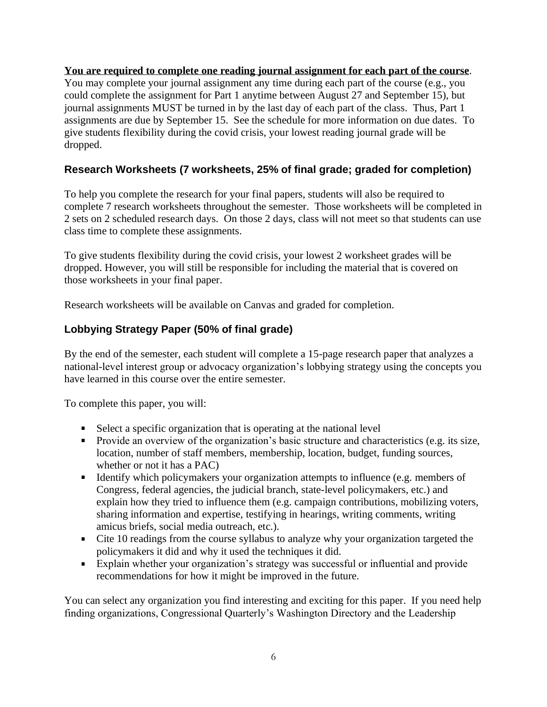**You are required to complete one reading journal assignment for each part of the course**. You may complete your journal assignment any time during each part of the course (e.g., you could complete the assignment for Part 1 anytime between August 27 and September 15), but journal assignments MUST be turned in by the last day of each part of the class. Thus, Part 1 assignments are due by September 15. See the schedule for more information on due dates. To give students flexibility during the covid crisis, your lowest reading journal grade will be dropped.

## **Research Worksheets (7 worksheets, 25% of final grade; graded for completion)**

To help you complete the research for your final papers, students will also be required to complete 7 research worksheets throughout the semester. Those worksheets will be completed in 2 sets on 2 scheduled research days. On those 2 days, class will not meet so that students can use class time to complete these assignments.

To give students flexibility during the covid crisis, your lowest 2 worksheet grades will be dropped. However, you will still be responsible for including the material that is covered on those worksheets in your final paper.

Research worksheets will be available on Canvas and graded for completion.

# **Lobbying Strategy Paper (50% of final grade)**

By the end of the semester, each student will complete a 15-page research paper that analyzes a national-level interest group or advocacy organization's lobbying strategy using the concepts you have learned in this course over the entire semester.

To complete this paper, you will:

- Select a specific organization that is operating at the national level
- **Provide an overview of the organization's basic structure and characteristics (e.g. its size,** location, number of staff members, membership, location, budget, funding sources, whether or not it has a PAC)
- Identify which policymakers your organization attempts to influence (e.g. members of Congress, federal agencies, the judicial branch, state-level policymakers, etc.) and explain how they tried to influence them (e.g. campaign contributions, mobilizing voters, sharing information and expertise, testifying in hearings, writing comments, writing amicus briefs, social media outreach, etc.).
- Cite 10 readings from the course syllabus to analyze why your organization targeted the policymakers it did and why it used the techniques it did.
- Explain whether your organization's strategy was successful or influential and provide recommendations for how it might be improved in the future.

You can select any organization you find interesting and exciting for this paper. If you need help finding organizations, Congressional Quarterly's Washington Directory and the Leadership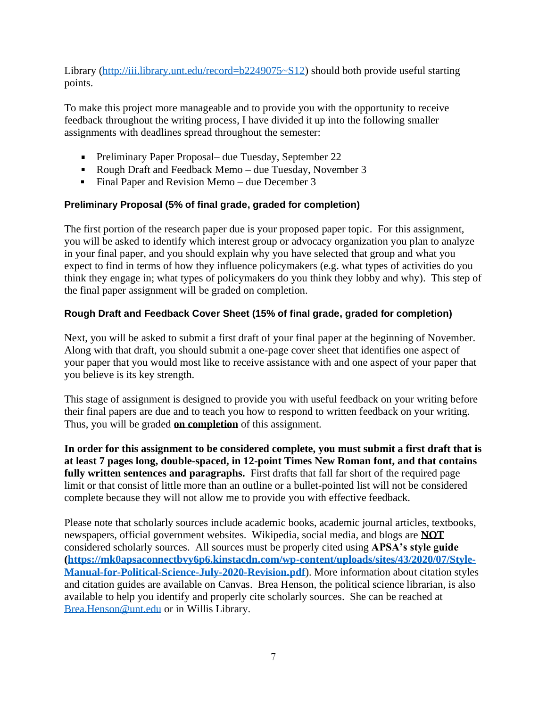Library [\(http://iii.library.unt.edu/record=b2249075~S12\)](http://iii.library.unt.edu/record=b2249075~S12) should both provide useful starting points.

To make this project more manageable and to provide you with the opportunity to receive feedback throughout the writing process, I have divided it up into the following smaller assignments with deadlines spread throughout the semester:

- Preliminary Paper Proposal– due Tuesday, September 22
- Rough Draft and Feedback Memo due Tuesday, November 3
- Final Paper and Revision Memo due December 3

#### **Preliminary Proposal (5% of final grade, graded for completion)**

The first portion of the research paper due is your proposed paper topic. For this assignment, you will be asked to identify which interest group or advocacy organization you plan to analyze in your final paper, and you should explain why you have selected that group and what you expect to find in terms of how they influence policymakers (e.g. what types of activities do you think they engage in; what types of policymakers do you think they lobby and why). This step of the final paper assignment will be graded on completion.

### **Rough Draft and Feedback Cover Sheet (15% of final grade, graded for completion)**

Next, you will be asked to submit a first draft of your final paper at the beginning of November. Along with that draft, you should submit a one-page cover sheet that identifies one aspect of your paper that you would most like to receive assistance with and one aspect of your paper that you believe is its key strength.

This stage of assignment is designed to provide you with useful feedback on your writing before their final papers are due and to teach you how to respond to written feedback on your writing. Thus, you will be graded **on completion** of this assignment.

**In order for this assignment to be considered complete, you must submit a first draft that is at least 7 pages long, double-spaced, in 12-point Times New Roman font, and that contains fully written sentences and paragraphs.** First drafts that fall far short of the required page limit or that consist of little more than an outline or a bullet-pointed list will not be considered complete because they will not allow me to provide you with effective feedback.

Please note that scholarly sources include academic books, academic journal articles, textbooks, newspapers, official government websites. Wikipedia, social media, and blogs are **NOT**  considered scholarly sources. All sources must be properly cited using **APSA's style guide [\(https://mk0apsaconnectbvy6p6.kinstacdn.com/wp-content/uploads/sites/43/2020/07/Style-](https://mk0apsaconnectbvy6p6.kinstacdn.com/wp-content/uploads/sites/43/2020/07/Style-Manual-for-Political-Science-July-2020-Revision.pdf)[Manual-for-Political-Science-July-2020-Revision.pdf](https://mk0apsaconnectbvy6p6.kinstacdn.com/wp-content/uploads/sites/43/2020/07/Style-Manual-for-Political-Science-July-2020-Revision.pdf)**). More information about citation styles and citation guides are available on Canvas. Brea Henson, the political science librarian, is also available to help you identify and properly cite scholarly sources. She can be reached at [Brea.Henson@unt.edu](mailto:Brea.Henson@unt.edu) or in Willis Library.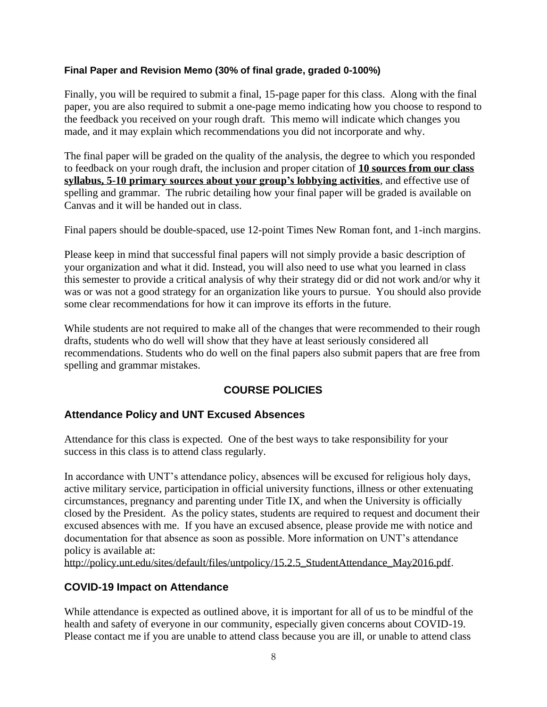#### **Final Paper and Revision Memo (30% of final grade, graded 0-100%)**

Finally, you will be required to submit a final, 15-page paper for this class. Along with the final paper, you are also required to submit a one-page memo indicating how you choose to respond to the feedback you received on your rough draft. This memo will indicate which changes you made, and it may explain which recommendations you did not incorporate and why.

The final paper will be graded on the quality of the analysis, the degree to which you responded to feedback on your rough draft, the inclusion and proper citation of **10 sources from our class syllabus, 5-10 primary sources about your group's lobbying activities**, and effective use of spelling and grammar. The rubric detailing how your final paper will be graded is available on Canvas and it will be handed out in class.

Final papers should be double-spaced, use 12-point Times New Roman font, and 1-inch margins.

Please keep in mind that successful final papers will not simply provide a basic description of your organization and what it did. Instead, you will also need to use what you learned in class this semester to provide a critical analysis of why their strategy did or did not work and/or why it was or was not a good strategy for an organization like yours to pursue. You should also provide some clear recommendations for how it can improve its efforts in the future.

While students are not required to make all of the changes that were recommended to their rough drafts, students who do well will show that they have at least seriously considered all recommendations. Students who do well on the final papers also submit papers that are free from spelling and grammar mistakes.

#### **COURSE POLICIES**

#### **Attendance Policy and UNT Excused Absences**

Attendance for this class is expected. One of the best ways to take responsibility for your success in this class is to attend class regularly.

In accordance with UNT's attendance policy, absences will be excused for religious holy days, active military service, participation in official university functions, illness or other extenuating circumstances, pregnancy and parenting under Title IX, and when the University is officially closed by the President. As the policy states, students are required to request and document their excused absences with me. If you have an excused absence, please provide me with notice and documentation for that absence as soon as possible. More information on UNT's attendance policy is available at:

[http://policy.unt.edu/sites/default/files/untpolicy/15.2.5\\_StudentAttendance\\_May2016.pdf.](http://policy.unt.edu/sites/default/files/untpolicy/15.2.5_StudentAttendance_May2016.pdf)

#### **COVID-19 Impact on Attendance**

While attendance is expected as outlined above, it is important for all of us to be mindful of the health and safety of everyone in our community, especially given concerns about COVID-19. Please contact me if you are unable to attend class because you are ill, or unable to attend class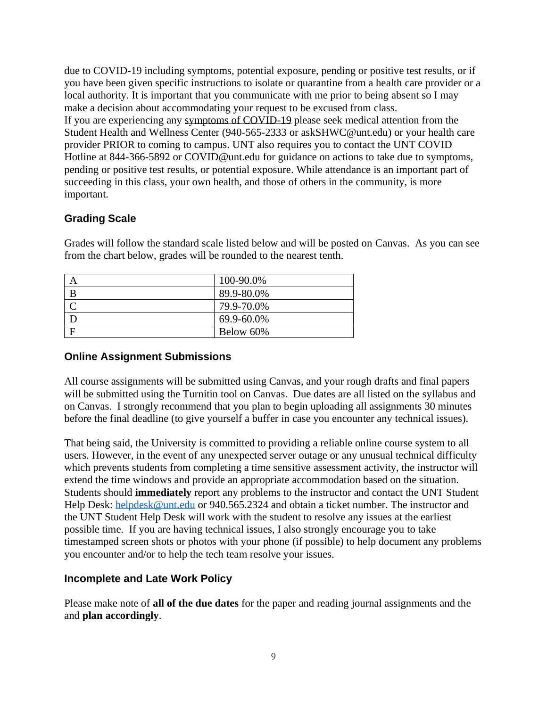due to COVID-19 including symptoms, potential exposure, pending or positive test results, or if you have been given specific instructions to isolate or quarantine from a health care provider or a local authority. It is important that you communicate with me prior to being absent so I may make a decision about accommodating your request to be excused from class. If you are experiencing any [symptoms of COVID-19](https://www.cdc.gov/coronavirus/2019-ncov/symptoms-testing/symptoms.html) please seek medical attention from the Student Health and Wellness Center (940-565-2333 or [askSHWC@unt.edu\)](mailto:askSHWC@unt.edu) or your health care provider PRIOR to coming to campus. UNT also requires you to contact the UNT COVID Hotline at 844-366-5892 or [COVID@unt.edu](mailto:COVID@unt.edu) for guidance on actions to take due to symptoms, pending or positive test results, or potential exposure. While attendance is an important part of succeeding in this class, your own health, and those of others in the community, is more important.

### **Grading Scale**

| ے ،      |            |  |
|----------|------------|--|
| $\Gamma$ | 100-90.0%  |  |
| B        | 89.9-80.0% |  |

Grades will follow the standard scale listed below and will be posted on Canvas. As you can see from the chart below, grades will be rounded to the nearest tenth.

#### **Online Assignment Submissions**

 $\Gamma$  79.9-70.0% D  $69.9-60.0\%$  $F$  Below 60%

All course assignments will be submitted using Canvas, and your rough drafts and final papers will be submitted using the Turnitin tool on Canvas. Due dates are all listed on the syllabus and on Canvas. I strongly recommend that you plan to begin uploading all assignments 30 minutes before the final deadline (to give yourself a buffer in case you encounter any technical issues).

That being said, the University is committed to providing a reliable online course system to all users. However, in the event of any unexpected server outage or any unusual technical difficulty which prevents students from completing a time sensitive assessment activity, the instructor will extend the time windows and provide an appropriate accommodation based on the situation. Students should **immediately** report any problems to the instructor and contact the UNT Student Help Desk: [helpdesk@unt.edu](mailto:helpdesk@unt.edu) or 940.565.2324 and obtain a ticket number. The instructor and the UNT Student Help Desk will work with the student to resolve any issues at the earliest possible time. If you are having technical issues, I also strongly encourage you to take timestamped screen shots or photos with your phone (if possible) to help document any problems you encounter and/or to help the tech team resolve your issues.

#### **Incomplete and Late Work Policy**

Please make note of **all of the due dates** for the paper and reading journal assignments and the and **plan accordingly**.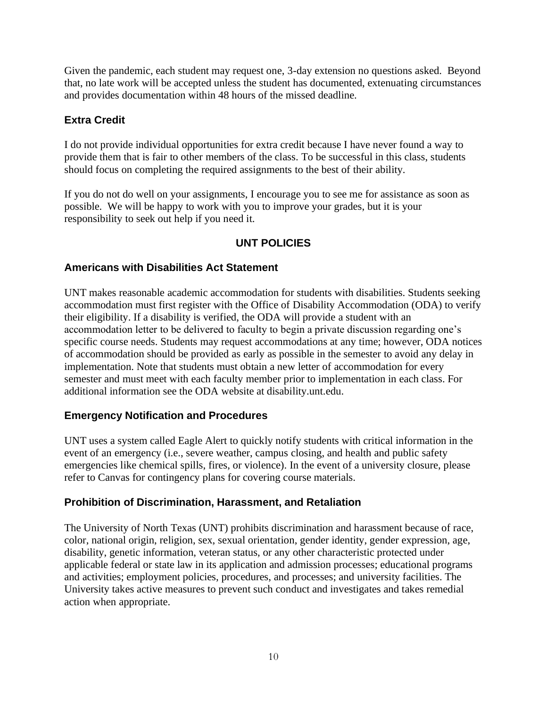Given the pandemic, each student may request one, 3-day extension no questions asked. Beyond that, no late work will be accepted unless the student has documented, extenuating circumstances and provides documentation within 48 hours of the missed deadline.

### **Extra Credit**

I do not provide individual opportunities for extra credit because I have never found a way to provide them that is fair to other members of the class. To be successful in this class, students should focus on completing the required assignments to the best of their ability.

If you do not do well on your assignments, I encourage you to see me for assistance as soon as possible. We will be happy to work with you to improve your grades, but it is your responsibility to seek out help if you need it.

### **UNT POLICIES**

### **Americans with Disabilities Act Statement**

UNT makes reasonable academic accommodation for students with disabilities. Students seeking accommodation must first register with the Office of Disability Accommodation (ODA) to verify their eligibility. If a disability is verified, the ODA will provide a student with an accommodation letter to be delivered to faculty to begin a private discussion regarding one's specific course needs. Students may request accommodations at any time; however, ODA notices of accommodation should be provided as early as possible in the semester to avoid any delay in implementation. Note that students must obtain a new letter of accommodation for every semester and must meet with each faculty member prior to implementation in each class. For additional information see the ODA website at disability.unt.edu.

#### **Emergency Notification and Procedures**

UNT uses a system called Eagle Alert to quickly notify students with critical information in the event of an emergency (i.e., severe weather, campus closing, and health and public safety emergencies like chemical spills, fires, or violence). In the event of a university closure, please refer to Canvas for contingency plans for covering course materials.

#### **Prohibition of Discrimination, Harassment, and Retaliation**

The University of North Texas (UNT) prohibits discrimination and harassment because of race, color, national origin, religion, sex, sexual orientation, gender identity, gender expression, age, disability, genetic information, veteran status, or any other characteristic protected under applicable federal or state law in its application and admission processes; educational programs and activities; employment policies, procedures, and processes; and university facilities. The University takes active measures to prevent such conduct and investigates and takes remedial action when appropriate.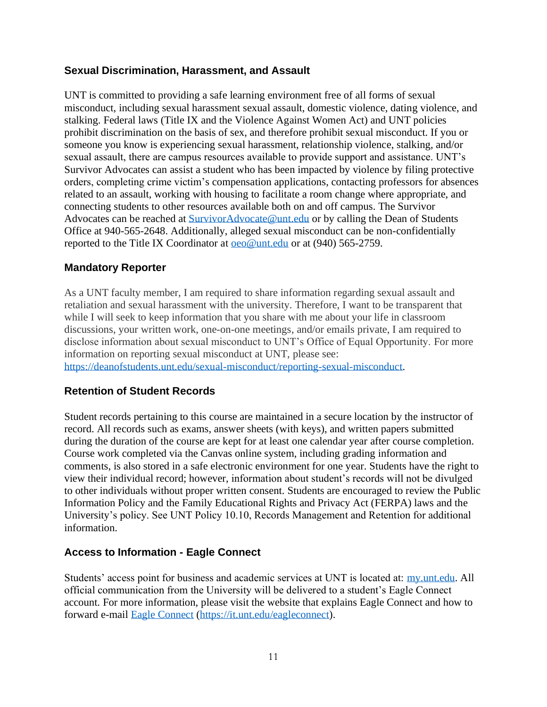#### **Sexual Discrimination, Harassment, and Assault**

UNT is committed to providing a safe learning environment free of all forms of sexual misconduct, including sexual harassment sexual assault, domestic violence, dating violence, and stalking. Federal laws (Title IX and the Violence Against Women Act) and UNT policies prohibit discrimination on the basis of sex, and therefore prohibit sexual misconduct. If you or someone you know is experiencing sexual harassment, relationship violence, stalking, and/or sexual assault, there are campus resources available to provide support and assistance. UNT's Survivor Advocates can assist a student who has been impacted by violence by filing protective orders, completing crime victim's compensation applications, contacting professors for absences related to an assault, working with housing to facilitate a room change where appropriate, and connecting students to other resources available both on and off campus. The Survivor Advocates can be reached at [SurvivorAdvocate@unt.edu](file:///C:/Users/jdl0126/AppData/Local/Temp/OneNote/16.0/NT/0/SurvivorAdvocate@unt.edu) or by calling the Dean of Students Office at 940-565-2648. Additionally, alleged sexual misconduct can be non-confidentially reported to the Title IX Coordinator at <u>oeo@unt.edu</u> or at (940) 565-2759.

#### **Mandatory Reporter**

As a UNT faculty member, I am required to share information regarding sexual assault and retaliation and sexual harassment with the university. Therefore, I want to be transparent that while I will seek to keep information that you share with me about your life in classroom discussions, your written work, one-on-one meetings, and/or emails private, I am required to disclose information about sexual misconduct to UNT's Office of Equal Opportunity. For more information on reporting sexual misconduct at UNT, please see:

[https://deanofstudents.unt.edu/sexual-misconduct/reporting-sexual-misconduct.](https://deanofstudents.unt.edu/sexual-misconduct/reporting-sexual-misconduct)

#### **Retention of Student Records**

Student records pertaining to this course are maintained in a secure location by the instructor of record. All records such as exams, answer sheets (with keys), and written papers submitted during the duration of the course are kept for at least one calendar year after course completion. Course work completed via the Canvas online system, including grading information and comments, is also stored in a safe electronic environment for one year. Students have the right to view their individual record; however, information about student's records will not be divulged to other individuals without proper written consent. Students are encouraged to review the Public Information Policy and the Family Educational Rights and Privacy Act (FERPA) laws and the University's policy. See UNT Policy 10.10, Records Management and Retention for additional information.

#### **Access to Information - Eagle Connect**

Students' access point for business and academic services at UNT is located at: [my.unt.edu.](https://my.unt.edu/) All official communication from the University will be delivered to a student's Eagle Connect account. For more information, please visit the website that explains Eagle Connect and how to forward e-mail [Eagle Connect](https://it.unt.edu/eagleconnect) [\(https://it.unt.edu/eagleconnect\)](https://it.unt.edu/eagleconnect).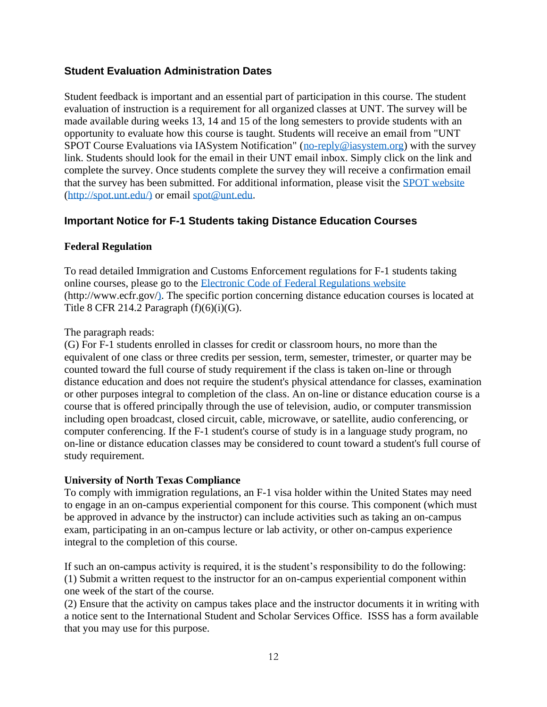### **Student Evaluation Administration Dates**

Student feedback is important and an essential part of participation in this course. The student evaluation of instruction is a requirement for all organized classes at UNT. The survey will be made available during weeks 13, 14 and 15 of the long semesters to provide students with an opportunity to evaluate how this course is taught. Students will receive an email from "UNT SPOT Course Evaluations via IASystem Notification" [\(no-reply@iasystem.org\)](file:///C:/Users/jdl0126/AppData/Local/Temp/OneNote/16.0/NT/0/no-reply@iasystem.org) with the survey link. Students should look for the email in their UNT email inbox. Simply click on the link and complete the survey. Once students complete the survey they will receive a confirmation email that the survey has been submitted. For additional information, please visit the [SPOT website](http://spot.unt.edu/) (http://spot.unt.edu/) or email [spot@unt.edu.](file:///C:/Users/jdl0126/AppData/Local/Temp/OneNote/16.0/NT/0/spot@unt.edu)

### **Important Notice for F-1 Students taking Distance Education Courses**

#### **Federal Regulation**

To read detailed Immigration and Customs Enforcement regulations for F-1 students taking online courses, please go to the [Electronic Code of Federal Regulations website](http://www.ecfr.gov/) (http://www.ecfr.gov/). The specific portion concerning distance education courses is located at Title 8 CFR 214.2 Paragraph  $(f)(6)(i)(G)$ .

#### The paragraph reads:

(G) For F-1 students enrolled in classes for credit or classroom hours, no more than the equivalent of one class or three credits per session, term, semester, trimester, or quarter may be counted toward the full course of study requirement if the class is taken on-line or through distance education and does not require the student's physical attendance for classes, examination or other purposes integral to completion of the class. An on-line or distance education course is a course that is offered principally through the use of television, audio, or computer transmission including open broadcast, closed circuit, cable, microwave, or satellite, audio conferencing, or computer conferencing. If the F-1 student's course of study is in a language study program, no on-line or distance education classes may be considered to count toward a student's full course of study requirement.

#### **University of North Texas Compliance**

To comply with immigration regulations, an F-1 visa holder within the United States may need to engage in an on-campus experiential component for this course. This component (which must be approved in advance by the instructor) can include activities such as taking an on-campus exam, participating in an on-campus lecture or lab activity, or other on-campus experience integral to the completion of this course.

If such an on-campus activity is required, it is the student's responsibility to do the following: (1) Submit a written request to the instructor for an on-campus experiential component within one week of the start of the course.

(2) Ensure that the activity on campus takes place and the instructor documents it in writing with a notice sent to the International Student and Scholar Services Office. ISSS has a form available that you may use for this purpose.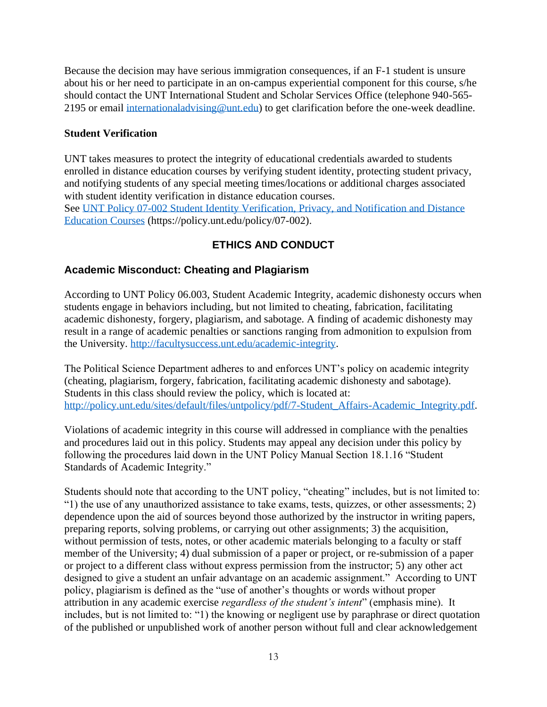Because the decision may have serious immigration consequences, if an F-1 student is unsure about his or her need to participate in an on-campus experiential component for this course, s/he should contact the UNT International Student and Scholar Services Office (telephone 940-565- 2195 or email [internationaladvising@unt.edu\)](mailto:internationaladvising@unt.edu) to get clarification before the one-week deadline.

#### **Student Verification**

UNT takes measures to protect the integrity of educational credentials awarded to students enrolled in distance education courses by verifying student identity, protecting student privacy, and notifying students of any special meeting times/locations or additional charges associated with student identity verification in distance education courses. See [UNT Policy 07-002 Student Identity Verification, Privacy, and Notification and Distance](https://policy.unt.edu/policy/07-002)  [Education Courses](https://policy.unt.edu/policy/07-002) (https://policy.unt.edu/policy/07-002).

# **ETHICS AND CONDUCT**

### **Academic Misconduct: Cheating and Plagiarism**

According to UNT Policy 06.003, Student Academic Integrity, academic dishonesty occurs when students engage in behaviors including, but not limited to cheating, fabrication, facilitating academic dishonesty, forgery, plagiarism, and sabotage. A finding of academic dishonesty may result in a range of academic penalties or sanctions ranging from admonition to expulsion from the University. [http://facultysuccess.unt.edu/academic-integrity.](http://facultysuccess.unt.edu/academic-integrity)

The Political Science Department adheres to and enforces UNT's policy on academic integrity (cheating, plagiarism, forgery, fabrication, facilitating academic dishonesty and sabotage). Students in this class should review the policy, which is located at: [http://policy.unt.edu/sites/default/files/untpolicy/pdf/7-Student\\_Affairs-Academic\\_Integrity.pdf.](http://policy.unt.edu/sites/default/files/untpolicy/pdf/7-Student_Affairs-Academic_Integrity.pdf)

Violations of academic integrity in this course will addressed in compliance with the penalties and procedures laid out in this policy. Students may appeal any decision under this policy by following the procedures laid down in the UNT Policy Manual Section 18.1.16 "Student Standards of Academic Integrity."

Students should note that according to the UNT policy, "cheating" includes, but is not limited to: "1) the use of any unauthorized assistance to take exams, tests, quizzes, or other assessments; 2) dependence upon the aid of sources beyond those authorized by the instructor in writing papers, preparing reports, solving problems, or carrying out other assignments; 3) the acquisition, without permission of tests, notes, or other academic materials belonging to a faculty or staff member of the University; 4) dual submission of a paper or project, or re-submission of a paper or project to a different class without express permission from the instructor; 5) any other act designed to give a student an unfair advantage on an academic assignment." According to UNT policy, plagiarism is defined as the "use of another's thoughts or words without proper attribution in any academic exercise *regardless of the student's intent*" (emphasis mine). It includes, but is not limited to: "1) the knowing or negligent use by paraphrase or direct quotation of the published or unpublished work of another person without full and clear acknowledgement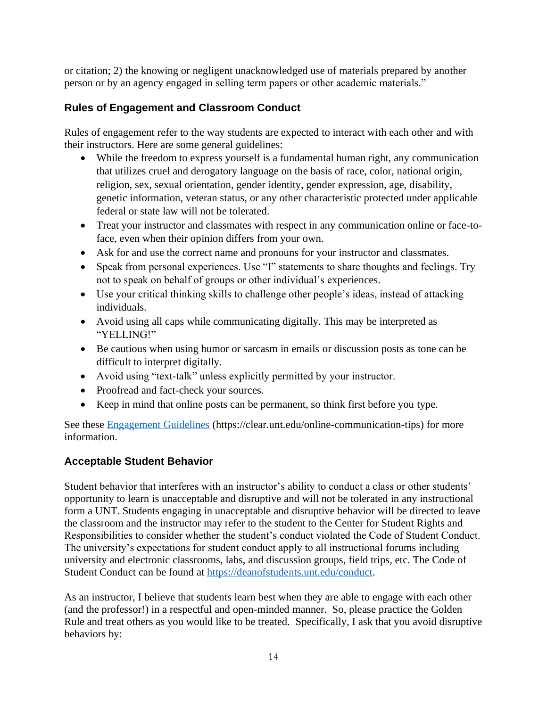or citation; 2) the knowing or negligent unacknowledged use of materials prepared by another person or by an agency engaged in selling term papers or other academic materials."

## **Rules of Engagement and Classroom Conduct**

Rules of engagement refer to the way students are expected to interact with each other and with their instructors. Here are some general guidelines:

- While the freedom to express yourself is a fundamental human right, any communication that utilizes cruel and derogatory language on the basis of race, color, national origin, religion, sex, sexual orientation, gender identity, gender expression, age, disability, genetic information, veteran status, or any other characteristic protected under applicable federal or state law will not be tolerated.
- Treat your instructor and classmates with respect in any communication online or face-toface, even when their opinion differs from your own.
- Ask for and use the correct name and pronouns for your instructor and classmates.
- Speak from personal experiences. Use "I" statements to share thoughts and feelings. Try not to speak on behalf of groups or other individual's experiences.
- Use your critical thinking skills to challenge other people's ideas, instead of attacking individuals.
- Avoid using all caps while communicating digitally. This may be interpreted as "YELLING!"
- Be cautious when using humor or sarcasm in emails or discussion posts as tone can be difficult to interpret digitally.
- Avoid using "text-talk" unless explicitly permitted by your instructor.
- Proofread and fact-check your sources.
- Keep in mind that online posts can be permanent, so think first before you type.

See these [Engagement Guidelines](https://clear.unt.edu/online-communication-tips) (https://clear.unt.edu/online-communication-tips) for more information.

### **Acceptable Student Behavior**

Student behavior that interferes with an instructor's ability to conduct a class or other students' opportunity to learn is unacceptable and disruptive and will not be tolerated in any instructional form a UNT. Students engaging in unacceptable and disruptive behavior will be directed to leave the classroom and the instructor may refer to the student to the Center for Student Rights and Responsibilities to consider whether the student's conduct violated the Code of Student Conduct. The university's expectations for student conduct apply to all instructional forums including university and electronic classrooms, labs, and discussion groups, field trips, etc. The Code of Student Conduct can be found at [https://deanofstudents.unt.edu/conduct.](https://deanofstudents.unt.edu/conduct)

As an instructor, I believe that students learn best when they are able to engage with each other (and the professor!) in a respectful and open-minded manner. So, please practice the Golden Rule and treat others as you would like to be treated. Specifically, I ask that you avoid disruptive behaviors by: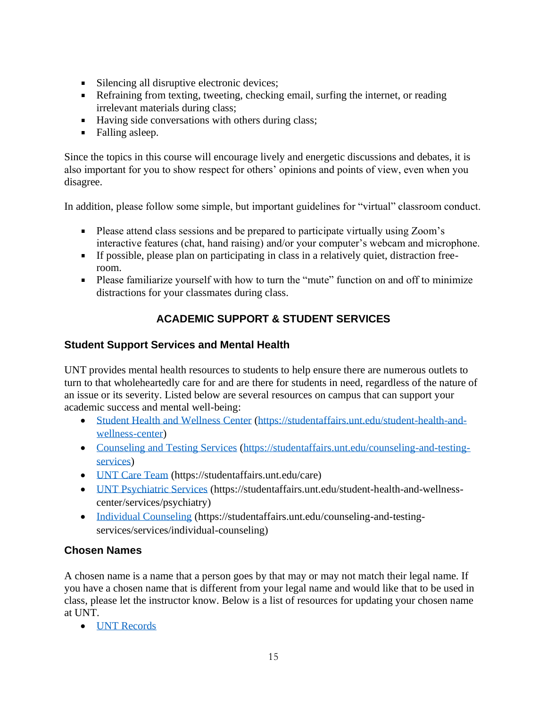- Silencing all disruptive electronic devices;
- Refraining from texting, tweeting, checking email, surfing the internet, or reading irrelevant materials during class;
- Having side conversations with others during class;
- Falling asleep.

Since the topics in this course will encourage lively and energetic discussions and debates, it is also important for you to show respect for others' opinions and points of view, even when you disagree.

In addition, please follow some simple, but important guidelines for "virtual" classroom conduct.

- Please attend class sessions and be prepared to participate virtually using Zoom's interactive features (chat, hand raising) and/or your computer's webcam and microphone.
- If possible, please plan on participating in class in a relatively quiet, distraction freeroom.
- **Please familiarize yourself with how to turn the "mute" function on and off to minimize** distractions for your classmates during class.

# **ACADEMIC SUPPORT & STUDENT SERVICES**

### **Student Support Services and Mental Health**

UNT provides mental health resources to students to help ensure there are numerous outlets to turn to that wholeheartedly care for and are there for students in need, regardless of the nature of an issue or its severity. Listed below are several resources on campus that can support your academic success and mental well-being:

- [Student Health and Wellness Center](https://studentaffairs.unt.edu/student-health-and-wellness-center) (https://studentaffairs.unt.edu/student-health-andwellness-center)
- [Counseling and Testing Services](https://studentaffairs.unt.edu/counseling-and-testing-services) (https://studentaffairs.unt.edu/counseling-and-testingservices)
- [UNT Care Team](https://studentaffairs.unt.edu/care) (https://studentaffairs.unt.edu/care)
- [UNT Psychiatric Services](https://studentaffairs.unt.edu/student-health-and-wellness-center/services/psychiatry) (https://studentaffairs.unt.edu/student-health-and-wellnesscenter/services/psychiatry)
- [Individual Counseling](https://studentaffairs.unt.edu/counseling-and-testing-services/services/individual-counseling) (https://studentaffairs.unt.edu/counseling-and-testingservices/services/individual-counseling)

### **Chosen Names**

A chosen name is a name that a person goes by that may or may not match their legal name. If you have a chosen name that is different from your legal name and would like that to be used in class, please let the instructor know. Below is a list of resources for updating your chosen name at UNT.

• [UNT Records](https://registrar.unt.edu/transcripts-and-records/update-your-personal-information)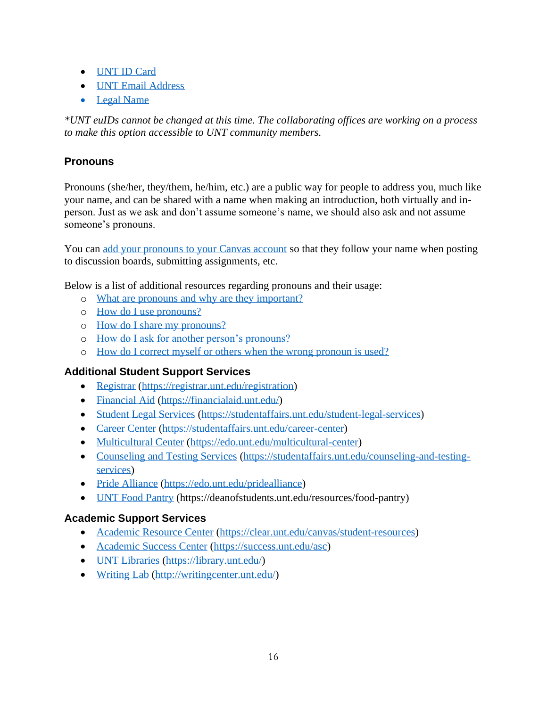- [UNT ID Card](https://sfs.unt.edu/idcards)
- [UNT Email Address](https://sso.unt.edu/idp/profile/SAML2/Redirect/SSO;jsessionid=E4DCA43DF85E3B74B3E496CAB99D8FC6?execution=e1s1)
- [Legal Name](https://studentaffairs.unt.edu/student-legal-services)

*\*UNT euIDs cannot be changed at this time. The collaborating offices are working on a process to make this option accessible to UNT community members.*

## **Pronouns**

Pronouns (she/her, they/them, he/him, etc.) are a public way for people to address you, much like your name, and can be shared with a name when making an introduction, both virtually and inperson. Just as we ask and don't assume someone's name, we should also ask and not assume someone's pronouns.

You can [add your pronouns to your Canvas account](https://community.canvaslms.com/docs/DOC-18406-42121184808) so that they follow your name when posting to discussion boards, submitting assignments, etc.

Below is a list of additional resources regarding pronouns and their usage:

- o [What are pronouns and why are they important?](https://www.mypronouns.org/what-and-why)
- o [How do I use pronouns?](https://www.mypronouns.org/how)
- o [How do I share my pronouns?](https://www.mypronouns.org/sharing)
- o [How do I ask for another person's pronouns?](https://www.mypronouns.org/asking)
- o [How do I correct myself or others when the wrong pronoun is used?](https://www.mypronouns.org/mistakes)

#### **Additional Student Support Services**

- [Registrar](file:///C:/Users/jdl0126/AppData/Local/Temp/OneNote/16.0/NT/0/Registrar) (https://registrar.unt.edu/registration)
- [Financial Aid](https://financialaid.unt.edu/) (https://financialaid.unt.edu/)
- [Student Legal Services](https://studentaffairs.unt.edu/student-legal-services) (https://studentaffairs.unt.edu/student-legal-services)
- [Career Center](https://studentaffairs.unt.edu/career-center) (https://studentaffairs.unt.edu/career-center)
- [Multicultural Center](https://edo.unt.edu/multicultural-center) (https://edo.unt.edu/multicultural-center)
- [Counseling and Testing Services](https://studentaffairs.unt.edu/counseling-and-testing-services) (https://studentaffairs.unt.edu/counseling-and-testingservices)
- [Pride Alliance](https://edo.unt.edu/pridealliance) (https://edo.unt.edu/pridealliance)
- [UNT Food Pantry](https://deanofstudents.unt.edu/resources/food-pantry) (https://deanofstudents.unt.edu/resources/food-pantry)

#### **Academic Support Services**

- [Academic Resource Center](https://clear.unt.edu/canvas/student-resources) (https://clear.unt.edu/canvas/student-resources)
- [Academic Success Center](https://success.unt.edu/asc) (https://success.unt.edu/asc)
- [UNT Libraries](https://library.unt.edu/) (https://library.unt.edu/)
- [Writing Lab](http://writingcenter.unt.edu/) [\(http://writingcenter.unt.edu/\)](http://writingcenter.unt.edu/)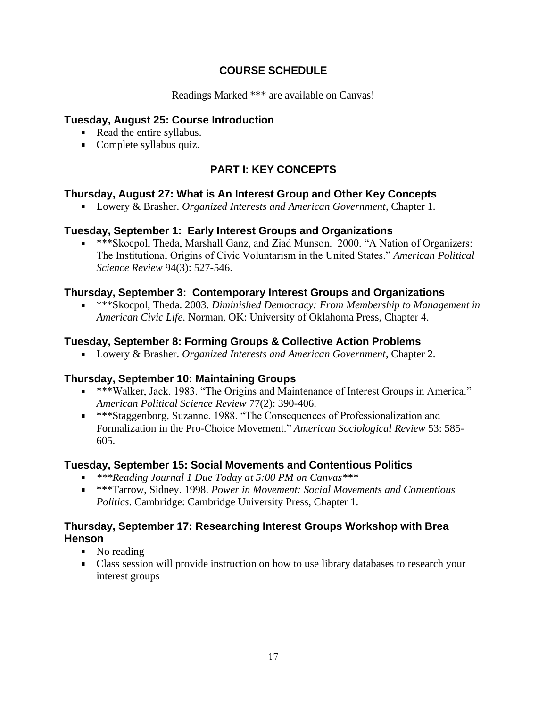### **COURSE SCHEDULE**

Readings Marked \*\*\* are available on Canvas!

### **Tuesday, August 25: Course Introduction**

- Read the entire syllabus.
- Complete syllabus quiz.

# **PART I: KEY CONCEPTS**

### **Thursday, August 27: What is An Interest Group and Other Key Concepts**

Lowery & Brasher. *Organized Interests and American Government*, Chapter 1.

### **Tuesday, September 1: Early Interest Groups and Organizations**

\*\*\*Skocpol, Theda, Marshall Ganz, and Ziad Munson. 2000. "A Nation of Organizers: The Institutional Origins of Civic Voluntarism in the United States." *American Political Science Review* 94(3): 527-546.

#### **Thursday, September 3: Contemporary Interest Groups and Organizations**

■ **\*\*\*Skocpol, Theda. 2003.** *Diminished Democracy: From Membership to Management in American Civic Life*. Norman, OK: University of Oklahoma Press, Chapter 4.

### **Tuesday, September 8: Forming Groups & Collective Action Problems**

Lowery & Brasher. *Organized Interests and American Government*, Chapter 2.

#### **Thursday, September 10: Maintaining Groups**

- \*\*\*Walker, Jack. 1983. "The Origins and Maintenance of Interest Groups in America." *American Political Science Review* 77(2): 390-406.
- \*\*\*Staggenborg, Suzanne. 1988. "The Consequences of Professionalization and Formalization in the Pro-Choice Movement." *American Sociological Review* 53: 585- 605.

#### **Tuesday, September 15: Social Movements and Contentious Politics**

- *\*\*\*Reading Journal 1 Due Today at 5:00 PM on Canvas\*\*\**
- \*\*\*Tarrow, Sidney. 1998. *Power in Movement: Social Movements and Contentious Politics*. Cambridge: Cambridge University Press, Chapter 1.

#### **Thursday, September 17: Researching Interest Groups Workshop with Brea Henson**

- No reading
- Class session will provide instruction on how to use library databases to research your interest groups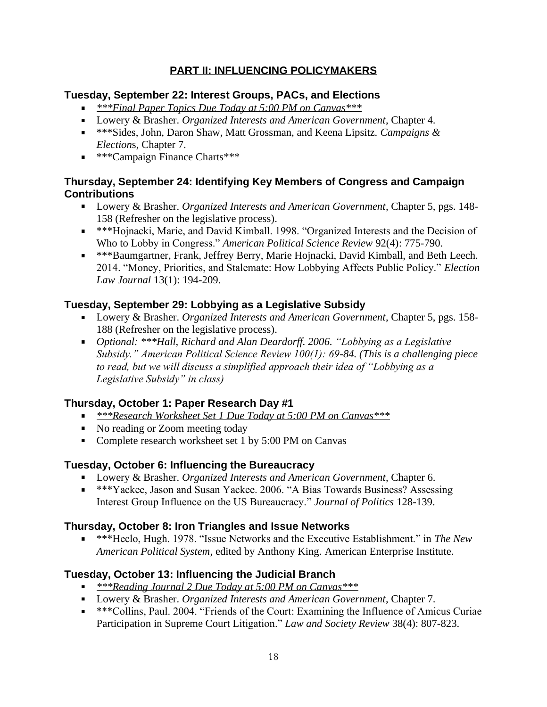# **PART II: INFLUENCING POLICYMAKERS**

### **Tuesday, September 22: Interest Groups, PACs, and Elections**

- *\*\*\*Final Paper Topics Due Today at 5:00 PM on Canvas\*\*\**
- Lowery & Brasher. *Organized Interests and American Government*, Chapter 4.
- \*\*\*Sides, John, Daron Shaw, Matt Grossman, and Keena Lipsitz. *Campaigns & Election*s, Chapter 7.
- **\*\*\*Campaign Finance Charts\*\*\***

### **Thursday, September 24: Identifying Key Members of Congress and Campaign Contributions**

- Lowery & Brasher. *Organized Interests and American Government*, Chapter 5, pgs. 148- 158 (Refresher on the legislative process).
- \*\*\*Hojnacki, Marie, and David Kimball. 1998. "Organized Interests and the Decision of Who to Lobby in Congress." *American Political Science Review* 92(4): 775-790.
- \*\*\*Baumgartner, Frank, Jeffrey Berry, Marie Hojnacki, David Kimball, and Beth Leech. 2014. "Money, Priorities, and Stalemate: How Lobbying Affects Public Policy." *Election Law Journal* 13(1): 194-209.

### **Tuesday, September 29: Lobbying as a Legislative Subsidy**

- Lowery & Brasher. *Organized Interests and American Government*, Chapter 5, pgs. 158- 188 (Refresher on the legislative process).
- *Optional: \*\*\*Hall, Richard and Alan Deardorff. 2006. "Lobbying as a Legislative Subsidy." American Political Science Review 100(1): 69-84. (This is a challenging piece to read, but we will discuss a simplified approach their idea of "Lobbying as a Legislative Subsidy" in class)*

### **Thursday, October 1: Paper Research Day #1**

- *\*\*\*Research Worksheet Set 1 Due Today at 5:00 PM on Canvas\*\*\**
- No reading or Zoom meeting today
- Complete research worksheet set 1 by 5:00 PM on Canvas

### **Tuesday, October 6: Influencing the Bureaucracy**

- Lowery & Brasher. *Organized Interests and American Government*, Chapter 6.
- \*\*\*Yackee, Jason and Susan Yackee. 2006. "A Bias Towards Business? Assessing Interest Group Influence on the US Bureaucracy." *Journal of Politics* 128-139.

### **Thursday, October 8: Iron Triangles and Issue Networks**

\*\*\*Heclo, Hugh. 1978. "Issue Networks and the Executive Establishment." in *The New American Political System*, edited by Anthony King. American Enterprise Institute.

### **Tuesday, October 13: Influencing the Judicial Branch**

- *\*\*\*Reading Journal 2 Due Today at 5:00 PM on Canvas\*\*\**
- Lowery & Brasher. *Organized Interests and American Government*, Chapter 7.
- \*\*\*Collins, Paul. 2004. "Friends of the Court: Examining the Influence of Amicus Curiae Participation in Supreme Court Litigation." *Law and Society Review* 38(4): 807-823.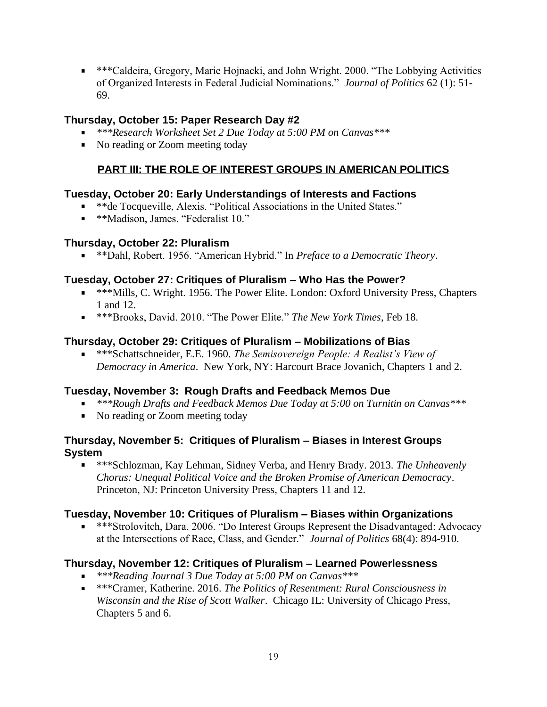\*\*\*Caldeira, Gregory, Marie Hojnacki, and John Wright. 2000. "The Lobbying Activities of Organized Interests in Federal Judicial Nominations." *Journal of Politics* 62 (1): 51- 69.

### **Thursday, October 15: Paper Research Day #2**

- *\*\*\*Research Worksheet Set 2 Due Today at 5:00 PM on Canvas\*\*\**
- No reading or Zoom meeting today

# **PART III: THE ROLE OF INTEREST GROUPS IN AMERICAN POLITICS**

### **Tuesday, October 20: Early Understandings of Interests and Factions**

- \*\*de Tocqueville, Alexis. "Political Associations in the United States."
- \*\*Madison, James. "Federalist 10."

### **Thursday, October 22: Pluralism**

\*\*Dahl, Robert. 1956. "American Hybrid." In *Preface to a Democratic Theory*.

### **Tuesday, October 27: Critiques of Pluralism – Who Has the Power?**

- \*\*\*Mills, C. Wright. 1956. The Power Elite. London: Oxford University Press, Chapters 1 and 12.
- \*\*\*Brooks, David. 2010. "The Power Elite." *The New York Times*, Feb 18.

### **Thursday, October 29: Critiques of Pluralism – Mobilizations of Bias**

\*\*\*Schattschneider, E.E. 1960. *The Semisovereign People: A Realist's View of Democracy in America*. New York, NY: Harcourt Brace Jovanich, Chapters 1 and 2.

### **Tuesday, November 3: Rough Drafts and Feedback Memos Due**

- *\*\*\*Rough Drafts and Feedback Memos Due Today at 5:00 on Turnitin on Canvas\*\*\**
- No reading or Zoom meeting today

#### **Thursday, November 5: Critiques of Pluralism – Biases in Interest Groups System**

\*\*\*Schlozman, Kay Lehman, Sidney Verba, and Henry Brady. 2013. *The Unheavenly Chorus: Unequal Political Voice and the Broken Promise of American Democracy*. Princeton, NJ: Princeton University Press, Chapters 11 and 12.

#### **Tuesday, November 10: Critiques of Pluralism – Biases within Organizations**

\*\*\*Strolovitch, Dara. 2006. "Do Interest Groups Represent the Disadvantaged: Advocacy at the Intersections of Race, Class, and Gender." *Journal of Politics* 68(4): 894-910.

#### **Thursday, November 12: Critiques of Pluralism – Learned Powerlessness**

- *\*\*\*Reading Journal 3 Due Today at 5:00 PM on Canvas\*\*\**
- \*\*\*Cramer, Katherine. 2016. *The Politics of Resentment: Rural Consciousness in Wisconsin and the Rise of Scott Walker*. Chicago IL: University of Chicago Press, Chapters 5 and 6.